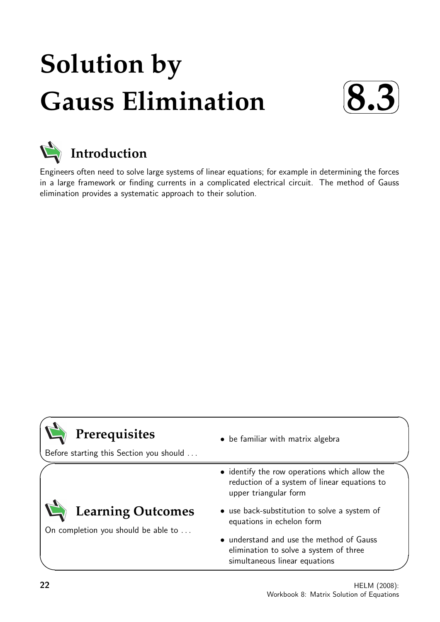# **Solution by Gauss Elimination**





Engineers often need to solve large systems of linear equations; for example in determining the forces in a large framework or finding currents in a complicated electrical circuit. The method of Gauss elimination provides a systematic approach to their solution.

# **Prerequisites**

Before starting this Section you should . . .

# **Learning Outcomes**

On completion you should be able to ...

- be familiar with matrix algebra
- identify the row operations which allow the reduction of a system of linear equations to upper triangular form
- use back-substitution to solve a system of equations in echelon form
- understand and use the method of Gauss elimination to solve a system of three simultaneous linear equations

 $\overline{\phantom{0}}$ 

 $\overline{\phantom{0}}$ 

 $\searrow$ 

 $\ge$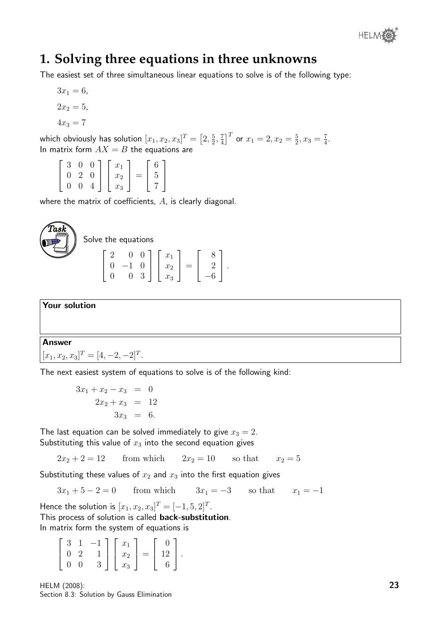

### **1. Solving three equations in three unknowns**

The easiest set of three simultaneous linear equations to solve is of the following type:

$$
3x_1 = 6,
$$
  

$$
2x_2 = 5,
$$
  

$$
4x_3 = 7
$$

which obviously has solution  $[x_1, x_2, x_3]^T = \big[2, \frac{5}{2}\big]$  $\frac{5}{2}$ ,  $\frac{7}{4}$  $\left[\frac{7}{4}\right]^T$  or  $x_1=2, x_2=\frac{5}{2}$  $\frac{5}{2}, x_3 = \frac{7}{4}$  $\frac{7}{4}$ . In matrix form  $AX = B$  the equations are

 $\sqrt{ }$  $\overline{\phantom{a}}$ 3 0 0 0 2 0 0 0 4 1  $\overline{1}$  $\sqrt{ }$  $\overline{\phantom{a}}$  $\overline{x}_1$  $\overline{x_2}$  $\overline{x_3}$ 1  $\Big| =$  $\sqrt{ }$  $\overline{\phantom{a}}$ 6 5 7 1  $\overline{1}$ 

where the matrix of coefficients, A, is clearly diagonal.



Solve the equations

$$
\left[\begin{array}{ccc} 2 & 0 & 0 \\ 0 & -1 & 0 \\ 0 & 0 & 3 \end{array}\right] \left[\begin{array}{c} x_1 \\ x_2 \\ x_3 \end{array}\right] = \left[\begin{array}{c} 8 \\ 2 \\ -6 \end{array}\right].
$$

Your solution

#### Answer

 $[x_1, x_2, x_3]^T = [4, -2, -2]^T.$ 

The next easiest system of equations to solve is of the following kind:

 $3x_1 + x_2 - x_3 = 0$  $2x_2 + x_3 = 12$  $3x_3 = 6.$ 

The last equation can be solved immediately to give  $x_3 = 2$ . Substituting this value of  $x_3$  into the second equation gives

 $2x_2 + 2 = 12$  from which  $2x_2 = 10$  so that  $x_2 = 5$ 

Substituting these values of  $x_2$  and  $x_3$  into the first equation gives

 $3x_1 + 5 - 2 = 0$  from which  $3x_1 = -3$  so that  $x_1 = -1$ 

Hence the solution is  $[x_1, x_2, x_3]^T = [-1, 5, 2]^T$ .

This process of solution is called back-substitution.

In matrix form the system of equations is

| $3\quad1$   |            | $-1$ | $x_1$ |       |      |  |
|-------------|------------|------|-------|-------|------|--|
|             | $0\quad 2$ |      | $x_2$ | $=$ 1 | $12$ |  |
| $0 \quad 0$ |            |      | $x_3$ |       |      |  |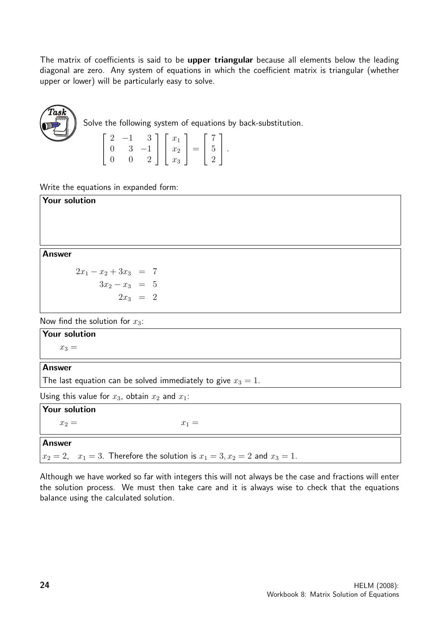The matrix of coefficients is said to be upper triangular because all elements below the leading diagonal are zero. Any system of equations in which the coefficient matrix is triangular (whether upper or lower) will be particularly easy to solve.



Solve the following system of equations by back-substitution.

$$
\begin{bmatrix} 2 & -1 & 3 \ 0 & 3 & -1 \ 0 & 0 & 2 \end{bmatrix} \begin{bmatrix} x_1 \ x_2 \ x_3 \end{bmatrix} = \begin{bmatrix} 7 \ 5 \ 2 \end{bmatrix}.
$$

Write the equations in expanded form:

| Your solution                     |
|-----------------------------------|
|                                   |
|                                   |
|                                   |
|                                   |
| <b>Answer</b>                     |
| $2x_1 - x_2 + 3x_3 = 7$           |
| $3x_2 - x_3 = 5$                  |
| $2x_3 = 2$                        |
| Now find the solution for $x_3$ : |
| <b>Your solution</b>              |
| $x_3 =$                           |

#### Answer

The last equation can be solved immediately to give  $x_3 = 1$ .

Using this value for  $x_3$ , obtain  $x_2$  and  $x_1$ :

| Your solution |                                                                                      |
|---------------|--------------------------------------------------------------------------------------|
| $x_2 =$       | $x_1 =$                                                                              |
| Answer        |                                                                                      |
|               | $x_2 = 2$ , $x_1 = 3$ . Therefore the solution is $x_1 = 3, x_2 = 2$ and $x_3 = 1$ . |

Although we have worked so far with integers this will not always be the case and fractions will enter the solution process. We must then take care and it is always wise to check that the equations balance using the calculated solution.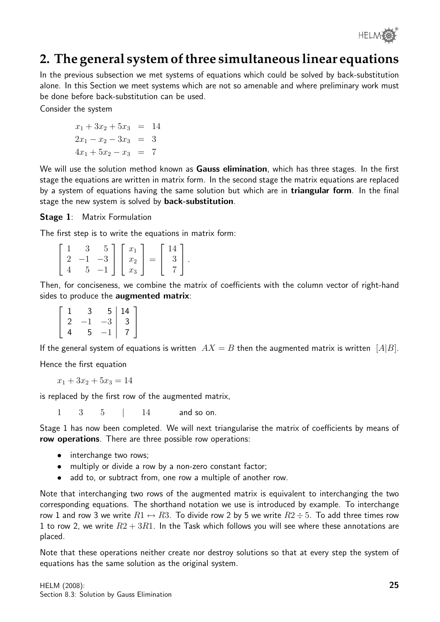

# **2. The general system of three simultaneous linear equations**

In the previous subsection we met systems of equations which could be solved by back-substitution alone. In this Section we meet systems which are not so amenable and where preliminary work must be done before back-substitution can be used.

Consider the system

$$
x_1 + 3x_2 + 5x_3 = 14
$$
  

$$
2x_1 - x_2 - 3x_3 = 3
$$
  

$$
4x_1 + 5x_2 - x_3 = 7
$$

We will use the solution method known as **Gauss elimination**, which has three stages. In the first stage the equations are written in matrix form. In the second stage the matrix equations are replaced by a system of equations having the same solution but which are in **triangular form**. In the final stage the new system is solved by **back-substitution**.

Stage 1: Matrix Formulation

The first step is to write the equations in matrix form:

|  | <u>у</u> | $5 -$     | $x_1$                 |     |  |
|--|----------|-----------|-----------------------|-----|--|
|  |          | $2 -1 -3$ | $\vert x_2 \vert^{1}$ | $=$ |  |
|  | $5 -$    | $-1$      | $x_3$                 |     |  |

Then, for conciseness, we combine the matrix of coefficients with the column vector of right-hand sides to produce the **augmented matrix**:

|                |     |      | $\begin{bmatrix} 5 & 14 \\ -3 & 3 \end{bmatrix}$ |
|----------------|-----|------|--------------------------------------------------|
| $\overline{2}$ | — 1 | $-3$ |                                                  |
|                | 5.  | $-1$ | 7 <sup>1</sup>                                   |

If the general system of equations is written  $AX = B$  then the augmented matrix is written  $[A|B]$ .

Hence the first equation

$$
x_1 + 3x_2 + 5x_3 = 14
$$

is replaced by the first row of the augmented matrix,

1 3 5 | 14 and so on.

Stage 1 has now been completed. We will next triangularise the matrix of coefficients by means of row operations. There are three possible row operations:

- interchange two rows;
- multiply or divide a row by a non-zero constant factor;
- add to, or subtract from, one row a multiple of another row.

Note that interchanging two rows of the augmented matrix is equivalent to interchanging the two corresponding equations. The shorthand notation we use is introduced by example. To interchange row 1 and row 3 we write  $R1 \leftrightarrow R3$ . To divide row 2 by 5 we write  $R2 \div 5$ . To add three times row 1 to row 2, we write  $R2 + 3R1$ . In the Task which follows you will see where these annotations are placed.

Note that these operations neither create nor destroy solutions so that at every step the system of equations has the same solution as the original system.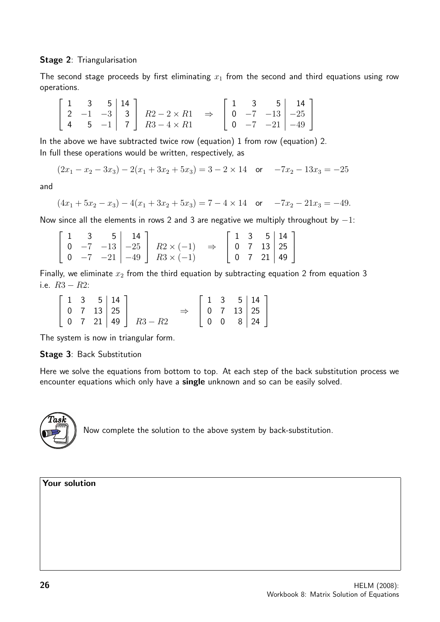#### Stage 2: Triangularisation

The second stage proceeds by first eliminating  $x_1$  from the second and third equations using row operations.

|  |  | $\begin{bmatrix} 1 & 3 & 5 & 14 \\ 2 & -1 & -3 & 3 \\ 4 & 5 & -1 & 7 \end{bmatrix}$ $\begin{array}{c} R2 - 2 \times R1 \\ R3 - 4 \times R1 \end{array}$ $\Rightarrow \begin{bmatrix} 1 & 3 & 5 & 14 \\ 0 & -7 & -13 & -25 \\ 0 & -7 & -21 & -49 \end{bmatrix}$ |  |  |  |
|--|--|----------------------------------------------------------------------------------------------------------------------------------------------------------------------------------------------------------------------------------------------------------------|--|--|--|

In the above we have subtracted twice row (equation) 1 from row (equation) 2. In full these operations would be written, respectively, as

$$
(2x1 - x2 - 3x3) - 2(x1 + 3x2 + 5x3) = 3 - 2 \times 14 \quad \text{or} \quad -7x2 - 13x3 = -25
$$

and

$$
(4x1 + 5x2 - x3) - 4(x1 + 3x2 + 5x3) = 7 - 4 \times 14 \quad \text{or} \quad -7x2 - 21x3 = -49.
$$

Now since all the elements in rows 2 and 3 are negative we multiply throughout by  $-1$ :

|  |  | $\begin{bmatrix} 1 & 3 & 5 & 14 \ 0 & -7 & -13 & -25 \ 0 & -7 & -21 & -49 \end{bmatrix}$ $\begin{array}{l} R2 \times (-1) \\ R3 \times (-1) \end{array}$ $\Rightarrow$ $\begin{bmatrix} 1 & 3 & 5 & 14 \ 0 & 7 & 13 & 25 \ 0 & 7 & 21 & 49 \end{bmatrix}$ |  |  |  |
|--|--|-----------------------------------------------------------------------------------------------------------------------------------------------------------------------------------------------------------------------------------------------------------|--|--|--|

Finally, we eliminate  $x_2$  from the third equation by subtracting equation 2 from equation 3 i.e.  $R3 - R2$ :

|  |  | $\begin{bmatrix} 1 & 3 & 5 & 14 \end{bmatrix}$ |                                                                                       |               |  |                                                                                                     |  |
|--|--|------------------------------------------------|---------------------------------------------------------------------------------------|---------------|--|-----------------------------------------------------------------------------------------------------|--|
|  |  | $0 \quad 7 \quad 13 \mid 25 \mid$              |                                                                                       | $\Rightarrow$ |  |                                                                                                     |  |
|  |  |                                                | $\begin{bmatrix} 0 & 7 & 21 \end{bmatrix}$ 49 $\begin{bmatrix} R3 - R2 \end{bmatrix}$ |               |  | $\left[\begin{array}{ccc c} 1 & 3 & 5 & 14 \\ 0 & 7 & 13 & 25 \\ 0 & 0 & 8 & 24 \end{array}\right]$ |  |

The system is now in triangular form.

#### Stage 3: Back Substitution

Here we solve the equations from bottom to top. At each step of the back substitution process we encounter equations which only have a single unknown and so can be easily solved.



Now complete the solution to the above system by back-substitution.

Your solution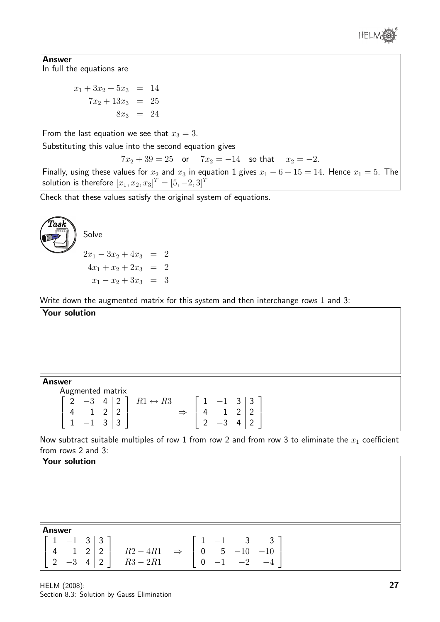

Answer In full the equations are

> $x_1 + 3x_2 + 5x_3 = 14$  $7x_2 + 13x_3 = 25$  $8x_3 = 24$

From the last equation we see that  $x_3 = 3$ .

Substituting this value into the second equation gives

 $7x_2 + 39 = 25$  or  $7x_2 = -14$  so that  $x_2 = -2$ .

Finally, using these values for  $x_2$  and  $x_3$  in equation 1 gives  $x_1 - 6 + 15 = 14$ . Hence  $x_1 = 5$ . The solution is therefore  $[x_1, x_2, x_3]^T=[5, -2, 3]^T$ 

Check that these values satisfy the original system of equations.



Write down the augmented matrix for this system and then interchange rows 1 and 3:

Your solution

Answer

|  | Augmented matrix |  |                         |               |          |            |  |  |
|--|------------------|--|-------------------------|---------------|----------|------------|--|--|
|  | $2 -3$ 4 2       |  | $R1 \leftrightarrow R3$ |               |          | $-1$ 3 3 1 |  |  |
|  |                  |  |                         | $\Rightarrow$ |          |            |  |  |
|  |                  |  |                         |               | $\Omega$ |            |  |  |

Now subtract suitable multiples of row 1 from row 2 and from row 3 to eliminate the  $x_1$  coefficient from rows 2 and 3:

|                | <b>Your solution</b> |            |             |                                                                                 |      |                         |                            |  |
|----------------|----------------------|------------|-------------|---------------------------------------------------------------------------------|------|-------------------------|----------------------------|--|
|                |                      |            |             |                                                                                 |      |                         |                            |  |
| Answer         |                      |            |             |                                                                                 |      |                         |                            |  |
|                | $-1$ 3               |            | $. + 3 + 1$ |                                                                                 | $-1$ | $\overline{\mathbf{3}}$ | $\overline{\phantom{a}}$ 3 |  |
| 4              |                      | $1\quad 2$ | 2           |                                                                                 |      |                         | $-10$                      |  |
| $\overline{2}$ | $\Omega$<br>$-3$     | 4          | 2           | $R2 - 4R1 \Rightarrow \begin{vmatrix} 0 & 5 & -10 \\ 0 & -1 & -2 \end{vmatrix}$ |      |                         | $-4$                       |  |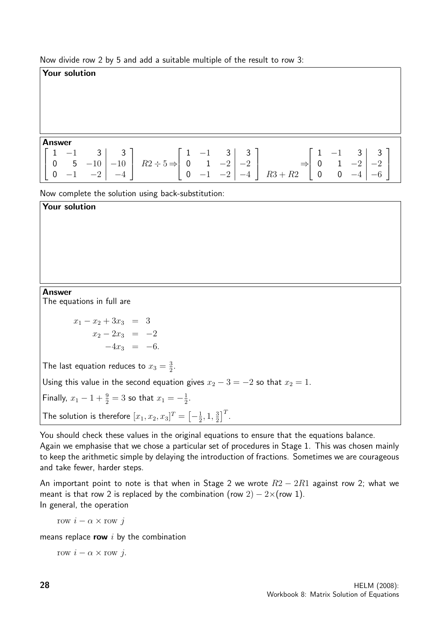Now divide row 2 by 5 and add a suitable multiple of the result to row 3:

#### Your solution

#### Answer

Your solution

| <b>Allswer</b> |  |  |  |                                                                                                                                                                                                                                                                                                                                                                      |  |  |  |
|----------------|--|--|--|----------------------------------------------------------------------------------------------------------------------------------------------------------------------------------------------------------------------------------------------------------------------------------------------------------------------------------------------------------------------|--|--|--|
|                |  |  |  |                                                                                                                                                                                                                                                                                                                                                                      |  |  |  |
|                |  |  |  |                                                                                                                                                                                                                                                                                                                                                                      |  |  |  |
|                |  |  |  | $\left[\begin{array}{ccc c} 1 & -1 & 3 & 3 \\ 0 & 5 & -10 & -10 \\ 0 & -1 & -2 & -4 \end{array}\right] \quad R2 \div 5 \Rightarrow \left[\begin{array}{ccc c} 1 & -1 & 3 & 3 \\ 0 & 1 & -2 & -2 \\ 0 & -1 & -2 & -4 \end{array}\right] \quad R3 + R2 \Rightarrow \left[\begin{array}{ccc c} 1 & -1 & 3 & 3 \\ 0 & 1 & -2 & -2 \\ 0 & 0 & -4 & -6 \end{array}\right]$ |  |  |  |

Now complete the solution using back-substitution:

| <b>Answer</b> |  |  |  |
|---------------|--|--|--|

The equations in full are

 $x_1 - x_2 + 3x_3 = 3$  $x_2 - 2x_3 = -2$  $-4x_3 = -6.$ 

The last equation reduces to  $x_3=\frac{3}{2}$  $\frac{3}{2}$ .

Using this value in the second equation gives  $x_2 - 3 = -2$  so that  $x_2 = 1$ .

Finally,  $x_1 - 1 + \frac{9}{2} = 3$  so that  $x_1 = -\frac{1}{2}$  $\frac{1}{2}$ .

The solution is therefore  $[x_1, x_2, x_3]^T = \bigl[-\frac{1}{2}\bigr]$  $\frac{1}{2}$ , 1,  $\frac{3}{2}$  $\frac{3}{2}$ ]<sup>T</sup>.

You should check these values in the original equations to ensure that the equations balance.

Again we emphasise that we chose a particular set of procedures in Stage 1. This was chosen mainly to keep the arithmetic simple by delaying the introduction of fractions. Sometimes we are courageous and take fewer, harder steps.

An important point to note is that when in Stage 2 we wrote  $R2 - 2R1$  against row 2; what we meant is that row 2 is replaced by the combination (row  $2$ ) –  $2\times$ (row 1). In general, the operation

row  $i - \alpha \times \text{row } j$ 

means replace row  $i$  by the combination

row  $i - \alpha \times \text{row } j$ .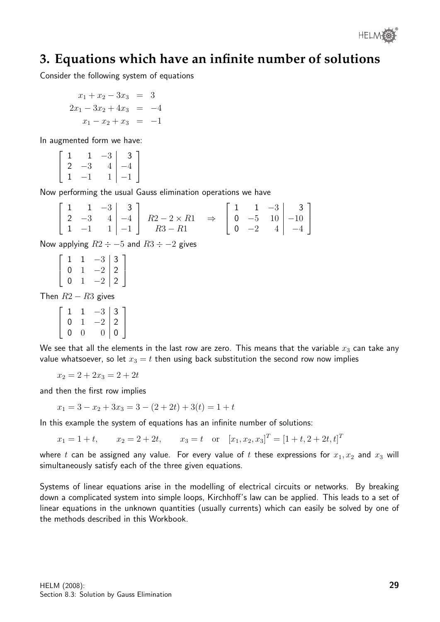

## **3. Equations which have an infinite number of solutions**

Consider the following system of equations

$$
x_1 + x_2 - 3x_3 = 3
$$
  
\n
$$
2x_1 - 3x_2 + 4x_3 = -4
$$
  
\n
$$
x_1 - x_2 + x_3 = -1
$$

In augmented form we have:

$$
\left[\begin{array}{ccc|c} 1 & 1 & -3 & 3 \\ 2 & -3 & 4 & -4 \\ 1 & -1 & 1 & -1 \end{array}\right]
$$

Now performing the usual Gauss elimination operations we have

|  |  | $\left[\begin{array}{ccc c} 1 & 1 & -3 & 3 \\ 2 & -3 & 4 & -4 \\ 1 & -1 & 1 & -1 \end{array}\right] \begin{array}{l} R2-2 \times R1 \\ R3-R1 \end{array} \Rightarrow \left[\begin{array}{ccc c} 1 & 1 & -3 & 3 \\ 0 & -5 & 10 & -10 \\ 0 & -2 & 4 & -4 \end{array}\right]$ |  |  |  |
|--|--|----------------------------------------------------------------------------------------------------------------------------------------------------------------------------------------------------------------------------------------------------------------------------|--|--|--|

Now applying  $R2 \div -5$  and  $R3 \div -2$  gives

 $\sqrt{ }$  $\vert$ 1 1  $-3$  3 0 1  $-2$  | 2 0 1  $-2$  | 2 1  $\frac{1}{2}$ 

Then  $R2 - R3$  gives

 $\sqrt{ }$  $\overline{\phantom{a}}$ 1 1  $-3$  3 0 1  $-2$  | 2  $0 \quad 0 \quad 0$  | 0 1  $\overline{1}$ 

We see that all the elements in the last row are zero. This means that the variable  $x_3$  can take any value whatsoever, so let  $x_3 = t$  then using back substitution the second row now implies

 $x_2 = 2 + 2x_3 = 2 + 2t$ 

and then the first row implies

 $x_1 = 3 - x_2 + 3x_3 = 3 - (2 + 2t) + 3(t) = 1 + t$ 

In this example the system of equations has an infinite number of solutions:

 $x_1 = 1 + t$ ,  $x_2 = 2 + 2t$ ,  $x_3 = t$  or  $[x_1, x_2, x_3]^T = [1 + t, 2 + 2t, t]^T$ 

where t can be assigned any value. For every value of t these expressions for  $x_1, x_2$  and  $x_3$  will simultaneously satisfy each of the three given equations.

Systems of linear equations arise in the modelling of electrical circuits or networks. By breaking down a complicated system into simple loops, Kirchhoff's law can be applied. This leads to a set of linear equations in the unknown quantities (usually currents) which can easily be solved by one of the methods described in this Workbook.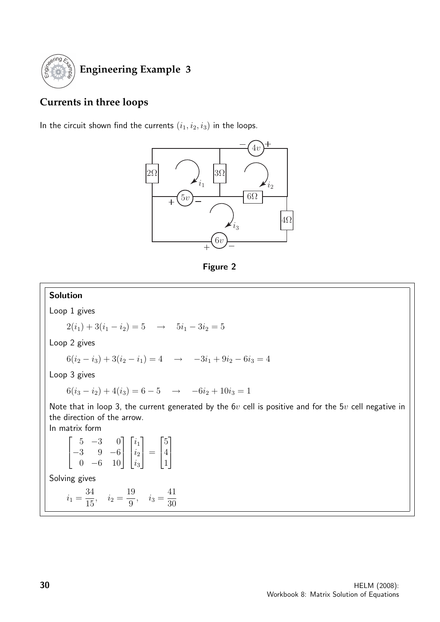

# **Currents in three loops**

In the circuit shown find the currents  $(i_1, i_2, i_3)$  in the loops.



Figure 2

#### Solution Loop 1 gives  $2(i_1) + 3(i_1 - i_2) = 5 \rightarrow 5i_1 - 3i_2 = 5$ Loop 2 gives  $6(i_2 - i_3) + 3(i_2 - i_1) = 4 \rightarrow -3i_1 + 9i_2 - 6i_3 = 4$ Loop 3 gives  $6(i_3 - i_2) + 4(i_3) = 6 - 5 \rightarrow -6i_2 + 10i_3 = 1$ Note that in loop 3, the current generated by the  $6v$  cell is positive and for the  $5v$  cell negative in the direction of the arrow. In matrix form  $\sqrt{ }$  $\overline{\phantom{a}}$  $5 -3 0$ −3 9 −6 0 −6 10 1  $\overline{1}$  $\sqrt{ }$  $\overline{\phantom{a}}$  $\overline{i_1}$  $\dot{i}_2$  $i_3$ 1  $\Big| =$  $\sqrt{ }$  $\overline{\phantom{a}}$ 5 4 1 1  $\mathbb{I}$ Solving gives  $i_1 =$ 34  $\frac{1}{15}$ ,  $i_2 =$ 19  $\frac{16}{9}$ ,  $i_3 =$ 41 30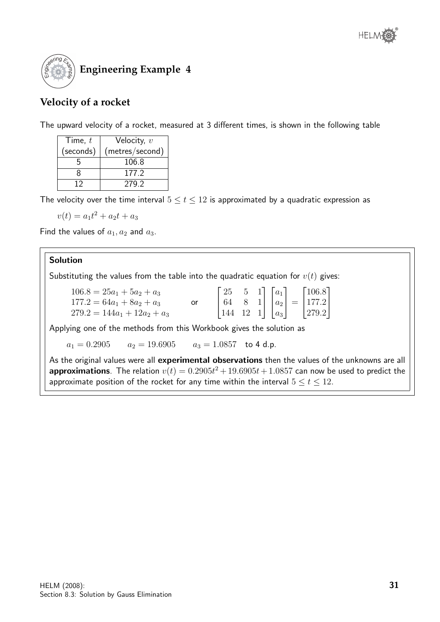

### **Velocity of a rocket**

The upward velocity of a rocket, measured at 3 different times, is shown in the following table

| Time, $t$ | Velocity, $v$   |  |  |  |  |
|-----------|-----------------|--|--|--|--|
| (seconds) | (metres/second) |  |  |  |  |
|           | 106.8           |  |  |  |  |
| x         | 177.2           |  |  |  |  |
|           | 279.2           |  |  |  |  |

The velocity over the time interval  $5 \le t \le 12$  is approximated by a quadratic expression as

$$
v(t) = a_1 t^2 + a_2 t + a_3
$$

Find the values of  $a_1, a_2$  and  $a_3$ .

### Solution

Substituting the values from the table into the quadratic equation for  $v(t)$  gives:

| $106.8 = 25a_1 + 5a_2 + a_3$   |  |  |  |                                                                                                                                                                                  |
|--------------------------------|--|--|--|----------------------------------------------------------------------------------------------------------------------------------------------------------------------------------|
| $177.2 = 64a_1 + 8a_2 + a_3$   |  |  |  |                                                                                                                                                                                  |
| $279.2 = 144a_1 + 12a_2 + a_3$ |  |  |  | $\begin{bmatrix} 25 & 5 & 1 \\ 64 & 8 & 1 \\ 144 & 12 & 1 \end{bmatrix} \begin{bmatrix} a_1 \\ a_2 \\ a_3 \end{bmatrix} = \begin{bmatrix} 106.8 \\ 177.2 \\ 279.2 \end{bmatrix}$ |

Applying one of the methods from this Workbook gives the solution as

 $a_1 = 0.2905$   $a_2 = 19.6905$   $a_3 = 1.0857$  to 4 d.p.

As the original values were all experimental observations then the values of the unknowns are all **approximations**. The relation  $v(t) = 0.2905t^2 + 19.6905t + 1.0857$  can now be used to predict the approximate position of the rocket for any time within the interval  $5 \le t \le 12$ .